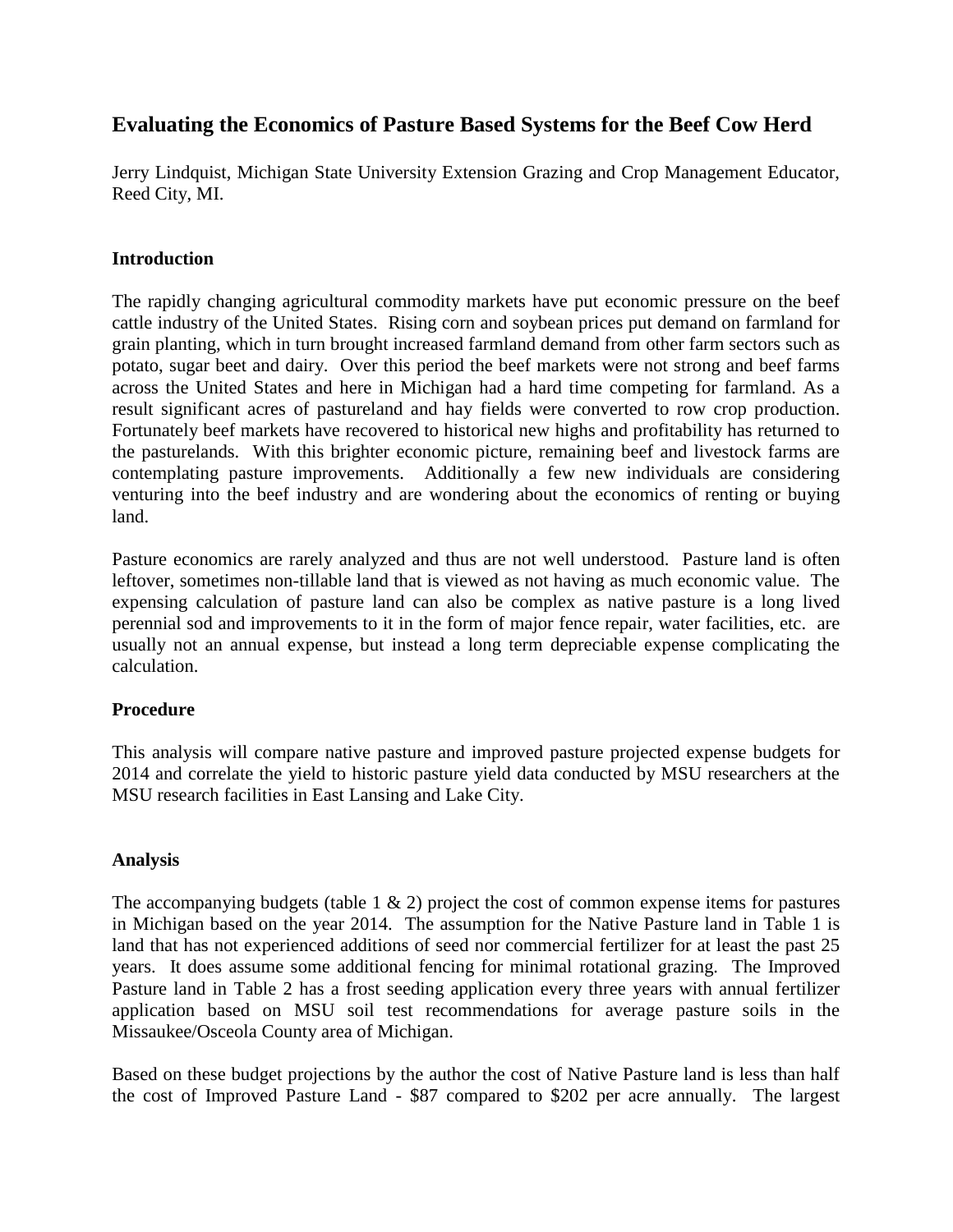## **Evaluating the Economics of Pasture Based Systems for the Beef Cow Herd**

Jerry Lindquist, Michigan State University Extension Grazing and Crop Management Educator, Reed City, MI.

#### **Introduction**

The rapidly changing agricultural commodity markets have put economic pressure on the beef cattle industry of the United States. Rising corn and soybean prices put demand on farmland for grain planting, which in turn brought increased farmland demand from other farm sectors such as potato, sugar beet and dairy. Over this period the beef markets were not strong and beef farms across the United States and here in Michigan had a hard time competing for farmland. As a result significant acres of pastureland and hay fields were converted to row crop production. Fortunately beef markets have recovered to historical new highs and profitability has returned to the pasturelands. With this brighter economic picture, remaining beef and livestock farms are contemplating pasture improvements. Additionally a few new individuals are considering venturing into the beef industry and are wondering about the economics of renting or buying land.

Pasture economics are rarely analyzed and thus are not well understood. Pasture land is often leftover, sometimes non-tillable land that is viewed as not having as much economic value. The expensing calculation of pasture land can also be complex as native pasture is a long lived perennial sod and improvements to it in the form of major fence repair, water facilities, etc. are usually not an annual expense, but instead a long term depreciable expense complicating the calculation.

### **Procedure**

This analysis will compare native pasture and improved pasture projected expense budgets for 2014 and correlate the yield to historic pasture yield data conducted by MSU researchers at the MSU research facilities in East Lansing and Lake City.

#### **Analysis**

The accompanying budgets (table  $1 \& 2$ ) project the cost of common expense items for pastures in Michigan based on the year 2014. The assumption for the Native Pasture land in Table 1 is land that has not experienced additions of seed nor commercial fertilizer for at least the past 25 years. It does assume some additional fencing for minimal rotational grazing. The Improved Pasture land in Table 2 has a frost seeding application every three years with annual fertilizer application based on MSU soil test recommendations for average pasture soils in the Missaukee/Osceola County area of Michigan.

Based on these budget projections by the author the cost of Native Pasture land is less than half the cost of Improved Pasture Land - \$87 compared to \$202 per acre annually. The largest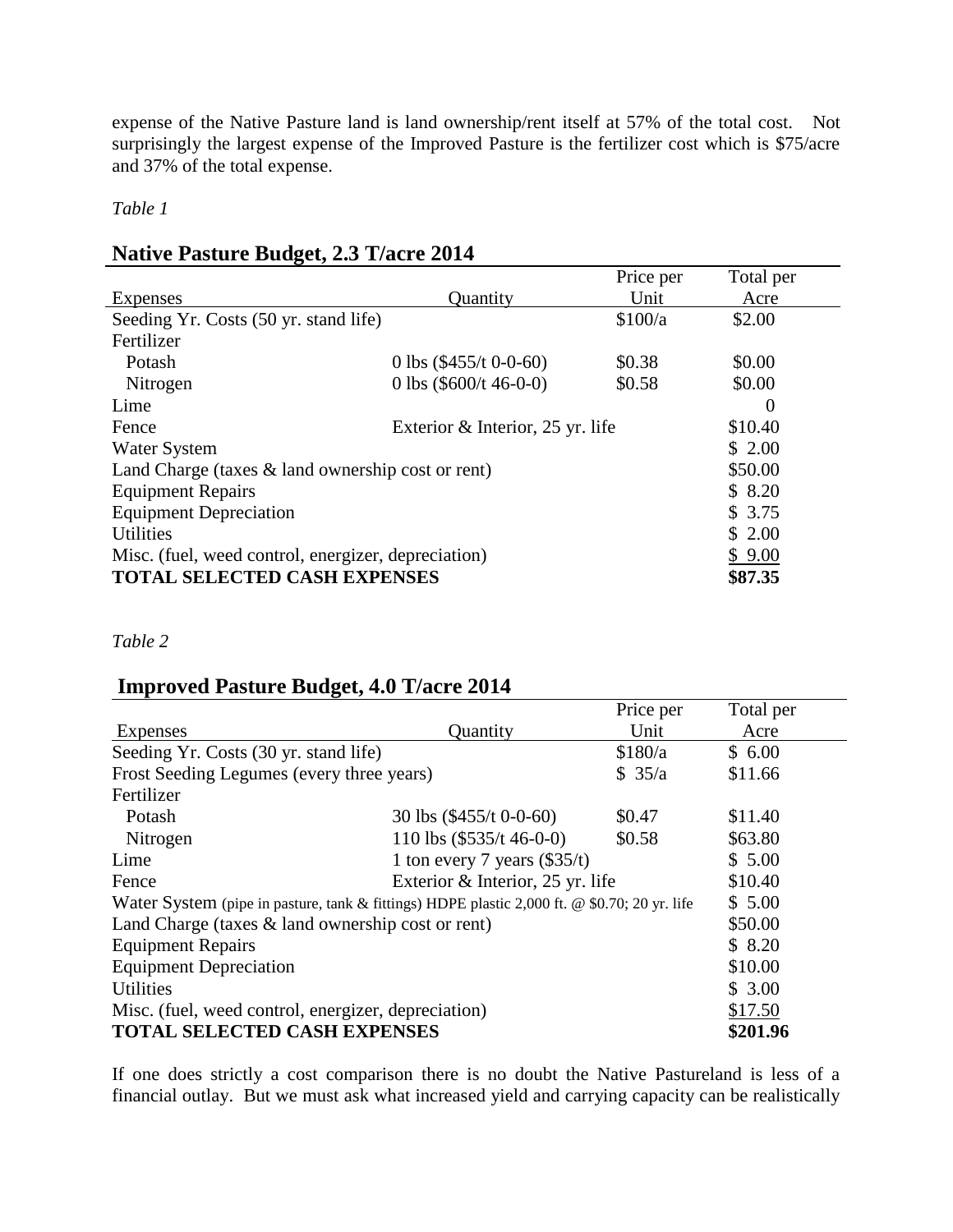expense of the Native Pasture land is land ownership/rent itself at 57% of the total cost. Not surprisingly the largest expense of the Improved Pasture is the fertilizer cost which is \$75/acre and 37% of the total expense.

*Table 1*

## **Native Pasture Budget, 2.3 T/acre 2014**

|                                                      |                                    | Price per | Total per |
|------------------------------------------------------|------------------------------------|-----------|-----------|
| Expenses                                             | Quantity                           | Unit      | Acre      |
| Seeding Yr. Costs (50 yr. stand life)                |                                    | \$100/a   | \$2.00    |
| Fertilizer                                           |                                    |           |           |
| Potash                                               | 0 lbs $(\$455/t 0-0-60)$           | \$0.38    | \$0.00    |
| Nitrogen                                             | 0 lbs $(\$600/t 46-0-0)$           | \$0.58    | \$0.00    |
| Lime                                                 |                                    |           | $\theta$  |
| Fence                                                | Exterior $&$ Interior, 25 yr. life |           | \$10.40   |
| <b>Water System</b>                                  |                                    |           | \$2.00    |
| Land Charge (taxes $\&$ land ownership cost or rent) |                                    |           | \$50.00   |
| <b>Equipment Repairs</b>                             |                                    |           | \$8.20    |
| <b>Equipment Depreciation</b>                        |                                    |           | \$3.75    |
| <b>Utilities</b>                                     |                                    |           | \$2.00    |
| Misc. (fuel, weed control, energizer, depreciation)  |                                    |           | \$9.00    |
| <b>TOTAL SELECTED CASH EXPENSES</b>                  |                                    |           | \$87.35   |

*Table 2*

## **Improved Pasture Budget, 4.0 T/acre 2014**

|                                                                                              |                                  | Price per | Total per |
|----------------------------------------------------------------------------------------------|----------------------------------|-----------|-----------|
| Expenses                                                                                     | Quantity                         | Unit      | Acre      |
| Seeding Yr. Costs (30 yr. stand life)                                                        |                                  | \$180/a   | \$6.00    |
| Frost Seeding Legumes (every three years)                                                    |                                  | \$35/a    | \$11.66   |
| Fertilizer                                                                                   |                                  |           |           |
| Potash                                                                                       | 30 lbs $(\$455/t 0-0-60)$        | \$0.47    | \$11.40   |
| Nitrogen                                                                                     | 110 lbs $(\$535/t 46-0-0)$       | \$0.58    | \$63.80   |
| Lime                                                                                         | 1 ton every 7 years $(\$35/t)$   |           |           |
| Fence                                                                                        | Exterior & Interior, 25 yr. life |           | \$10.40   |
| Water System (pipe in pasture, tank & fittings) HDPE plastic 2,000 ft. @ \$0.70; 20 yr. life |                                  |           | \$5.00    |
| Land Charge (taxes $\&$ land ownership cost or rent)                                         |                                  |           | \$50.00   |
| <b>Equipment Repairs</b>                                                                     |                                  |           | \$8.20    |
| <b>Equipment Depreciation</b>                                                                |                                  |           | \$10.00   |
| <b>Utilities</b>                                                                             |                                  |           | \$3.00    |
| Misc. (fuel, weed control, energizer, depreciation)                                          |                                  |           | \$17.50   |
| <b>TOTAL SELECTED CASH EXPENSES</b>                                                          |                                  |           | \$201.96  |

If one does strictly a cost comparison there is no doubt the Native Pastureland is less of a financial outlay. But we must ask what increased yield and carrying capacity can be realistically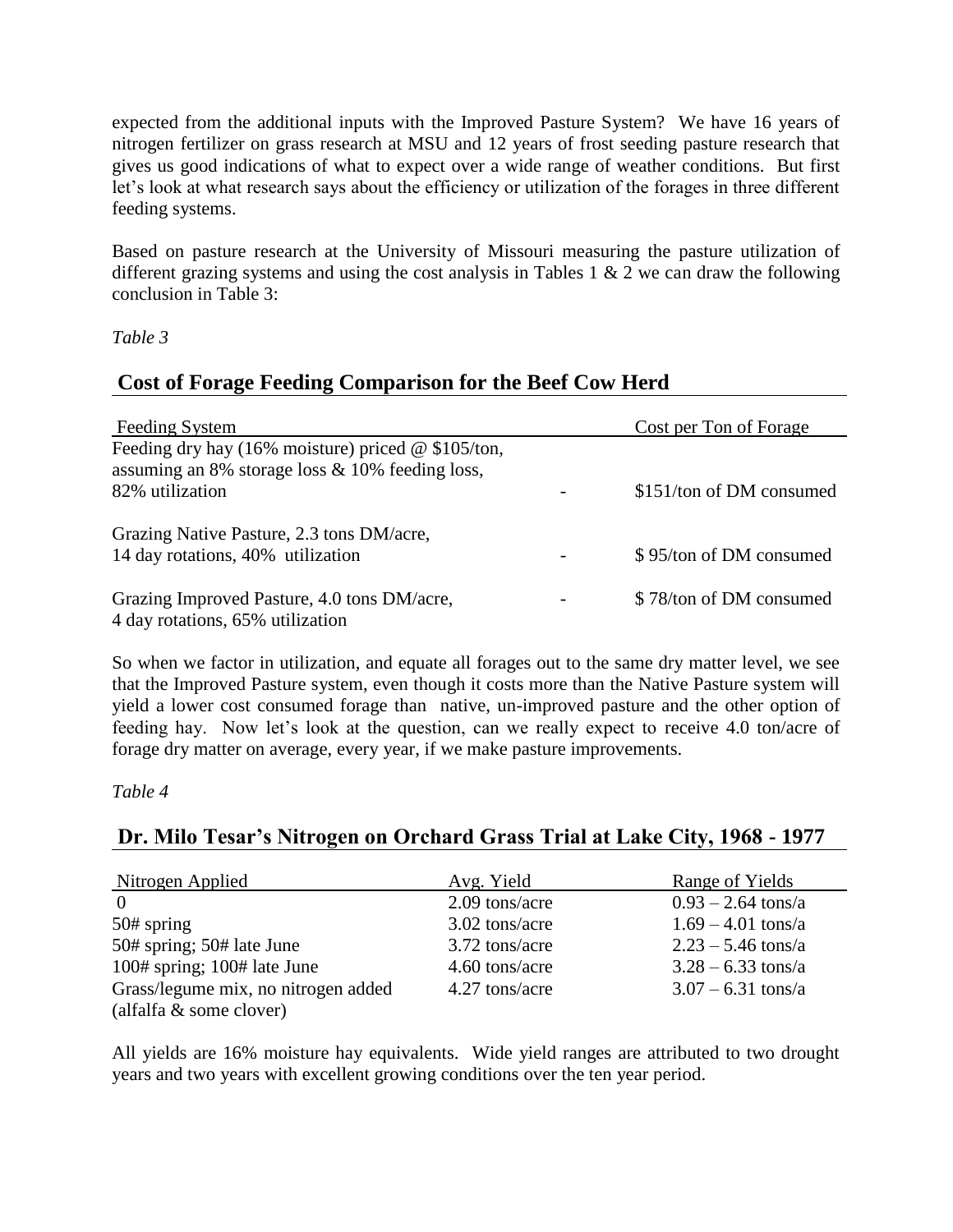expected from the additional inputs with the Improved Pasture System? We have 16 years of nitrogen fertilizer on grass research at MSU and 12 years of frost seeding pasture research that gives us good indications of what to expect over a wide range of weather conditions. But first let's look at what research says about the efficiency or utilization of the forages in three different feeding systems.

Based on pasture research at the University of Missouri measuring the pasture utilization of different grazing systems and using the cost analysis in Tables 1  $\&$  2 we can draw the following conclusion in Table 3:

#### *Table 3*

## **Cost of Forage Feeding Comparison for the Beef Cow Herd**

| <b>Feeding System</b>                                | Cost per Ton of Forage   |
|------------------------------------------------------|--------------------------|
| Feeding dry hay (16% moisture) priced $@$ \$105/ton, |                          |
| assuming an 8% storage loss $& 10\%$ feeding loss,   |                          |
| 82% utilization                                      | \$151/ton of DM consumed |
| Grazing Native Pasture, 2.3 tons DM/acre,            |                          |
| 14 day rotations, 40% utilization                    | \$95/ton of DM consumed  |
| Grazing Improved Pasture, 4.0 tons DM/acre,          | \$78/ton of DM consumed  |
| 4 day rotations, 65% utilization                     |                          |

So when we factor in utilization, and equate all forages out to the same dry matter level, we see that the Improved Pasture system, even though it costs more than the Native Pasture system will yield a lower cost consumed forage than native, un-improved pasture and the other option of feeding hay. Now let's look at the question, can we really expect to receive 4.0 ton/acre of forage dry matter on average, every year, if we make pasture improvements.

#### *Table 4*

## **Dr. Milo Tesar's Nitrogen on Orchard Grass Trial at Lake City, 1968 - 1977**

| Nitrogen Applied                    | Avg. Yield     | Range of Yields              |
|-------------------------------------|----------------|------------------------------|
| $\Omega$                            | 2.09 tons/acre | $0.93 - 2.64$ tons/a         |
| $50#$ spring                        | 3.02 tons/acre | $1.69 - 4.01 \text{ tons/a}$ |
| 50# spring; 50# late June           | 3.72 tons/acre | $2.23 - 5.46$ tons/a         |
| $100#$ spring; $100#$ late June     | 4.60 tons/acre | $3.28 - 6.33 \text{ tons/a}$ |
| Grass/legume mix, no nitrogen added | 4.27 tons/acre | $3.07 - 6.31$ tons/a         |
| (alfalfa & some clover)             |                |                              |

All yields are 16% moisture hay equivalents. Wide yield ranges are attributed to two drought years and two years with excellent growing conditions over the ten year period.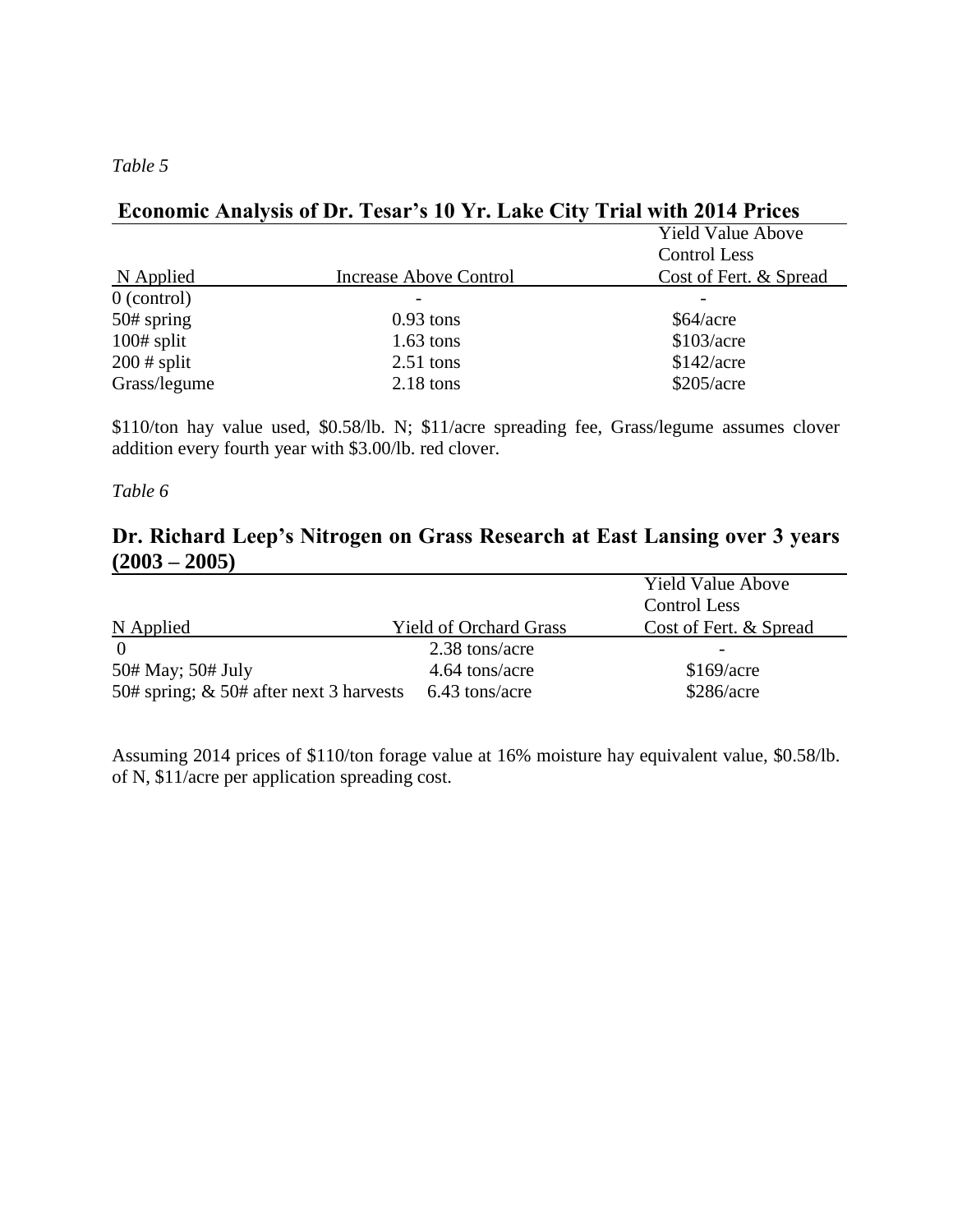*Table 5*

## **Economic Analysis of Dr. Tesar's 10 Yr. Lake City Trial with 2014 Prices**

|               |                        | <b>Yield Value Above</b><br><b>Control Less</b> |  |
|---------------|------------------------|-------------------------------------------------|--|
| N Applied     | Increase Above Control | Cost of Fert. & Spread                          |  |
| $0$ (control) |                        |                                                 |  |
| $50#$ spring  | $0.93$ tons            | \$64/acre                                       |  |
| $100#$ split  | $1.63$ tons            | \$103/acre                                      |  |
| $200$ # split | $2.51$ tons            | \$142/acre                                      |  |
| Grass/legume  | $2.18$ tons            | \$205/acre                                      |  |

\$110/ton hay value used, \$0.58/lb. N; \$11/acre spreading fee, Grass/legume assumes clover addition every fourth year with \$3.00/lb. red clover.

#### *Table 6*

## **Dr. Richard Leep's Nitrogen on Grass Research at East Lansing over 3 years (2003 – 2005)**

|                                            |                               | <b>Yield Value Above</b> |
|--------------------------------------------|-------------------------------|--------------------------|
|                                            |                               | Control Less             |
| N Applied                                  | <b>Yield of Orchard Grass</b> | Cost of Fert. & Spread   |
|                                            | 2.38 tons/acre                |                          |
| 50# May; 50# July                          | 4.64 tons/acre                | \$169/acre               |
| 50# spring; $\&$ 50# after next 3 harvests | 6.43 tons/acre                | \$286/acre               |

Assuming 2014 prices of \$110/ton forage value at 16% moisture hay equivalent value, \$0.58/lb. of N, \$11/acre per application spreading cost.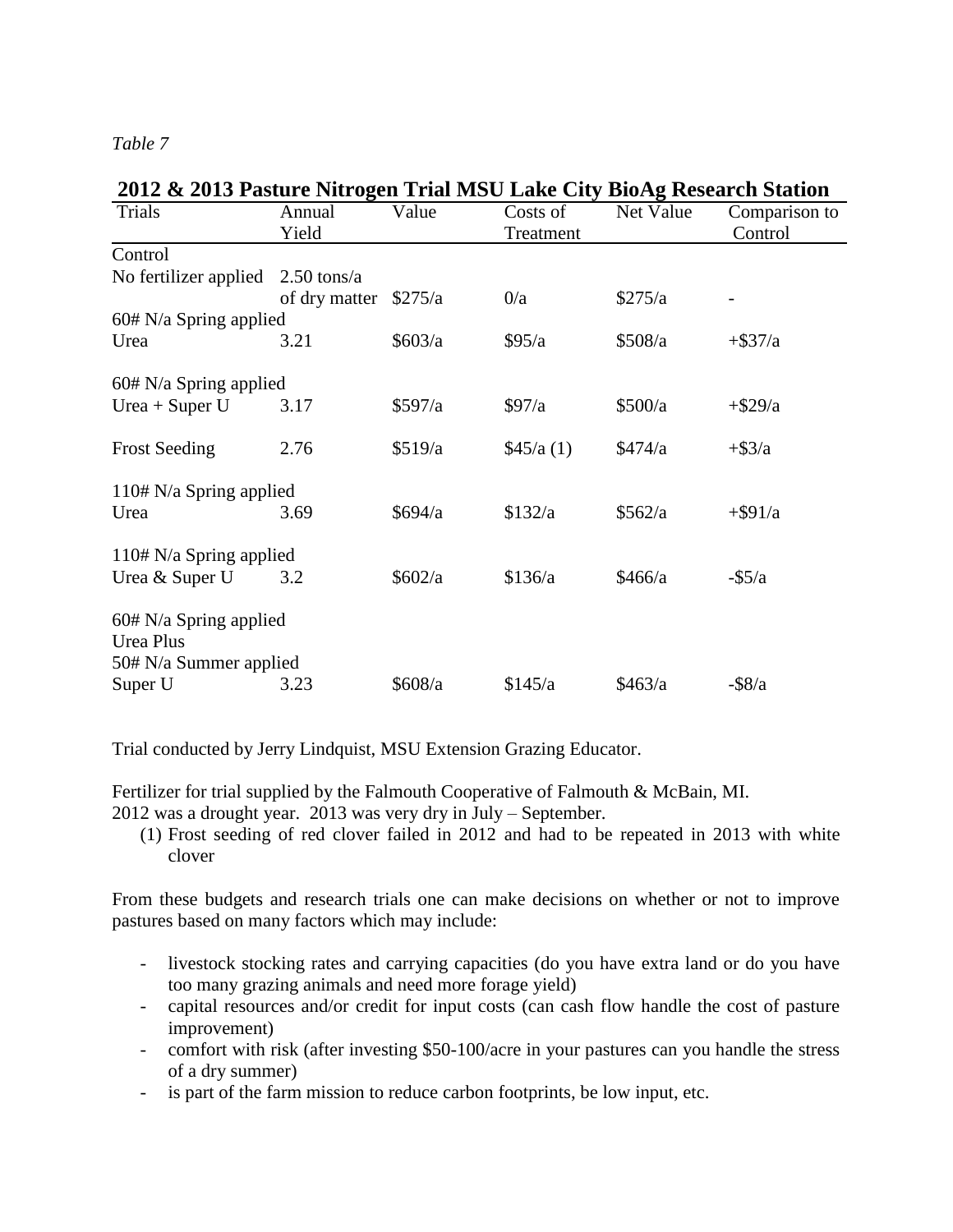#### *Table 7*

| 2012 & 2013 Pasture Nitrogen Trial MSU Lake City BioAg Research Station |                       |           |           |           |               |
|-------------------------------------------------------------------------|-----------------------|-----------|-----------|-----------|---------------|
| Trials                                                                  | Annual                | Value     | Costs of  | Net Value | Comparison to |
|                                                                         | Yield                 |           | Treatment |           | Control       |
| Control                                                                 |                       |           |           |           |               |
| No fertilizer applied                                                   | $2.50 \text{ tons/a}$ |           |           |           |               |
|                                                                         | of dry matter         | \$275/a   | 0/a       | \$275/a   |               |
| 60# N/a Spring applied                                                  |                       |           |           |           |               |
| Urea                                                                    | 3.21                  | \$603/a   | \$95/a    | \$508/a   | $+$ \$37/a    |
|                                                                         |                       |           |           |           |               |
| $60# N/a$ Spring applied                                                |                       |           |           |           |               |
| Urea + Super $U$                                                        | 3.17                  | \$597/a   | \$97/a    | \$500/a   | $+$ \$29/a    |
|                                                                         |                       |           |           |           |               |
| <b>Frost Seeding</b>                                                    | 2.76                  | \$519/a   | \$45/a(1) | \$474/a   | $+$ \$3/a     |
|                                                                         |                       |           |           |           |               |
| 110# N/a Spring applied                                                 |                       |           |           |           |               |
| Urea                                                                    | 3.69                  | \$694/a   | \$132/a   | \$562/a   | $+$ \$91/a    |
|                                                                         |                       |           |           |           |               |
| 110# N/a Spring applied                                                 |                       |           |           |           |               |
| Urea & Super U                                                          | 3.2                   | \$602/a\$ | \$136/a   | \$466/a   | $-$ \$5/a     |
|                                                                         |                       |           |           |           |               |
| $60# N/a$ Spring applied<br><b>Urea Plus</b>                            |                       |           |           |           |               |
|                                                                         |                       |           |           |           |               |
| 50# N/a Summer applied                                                  |                       |           |           |           |               |
| Super U                                                                 | 3.23                  | \$608/a   | \$145/a   | \$463/a   | $-$ \$8/a     |

Trial conducted by Jerry Lindquist, MSU Extension Grazing Educator.

Fertilizer for trial supplied by the Falmouth Cooperative of Falmouth & McBain, MI. 2012 was a drought year. 2013 was very dry in July – September.

(1) Frost seeding of red clover failed in 2012 and had to be repeated in 2013 with white clover

From these budgets and research trials one can make decisions on whether or not to improve pastures based on many factors which may include:

- livestock stocking rates and carrying capacities (do you have extra land or do you have too many grazing animals and need more forage yield)
- capital resources and/or credit for input costs (can cash flow handle the cost of pasture improvement)
- comfort with risk (after investing \$50-100/acre in your pastures can you handle the stress of a dry summer)
- is part of the farm mission to reduce carbon footprints, be low input, etc.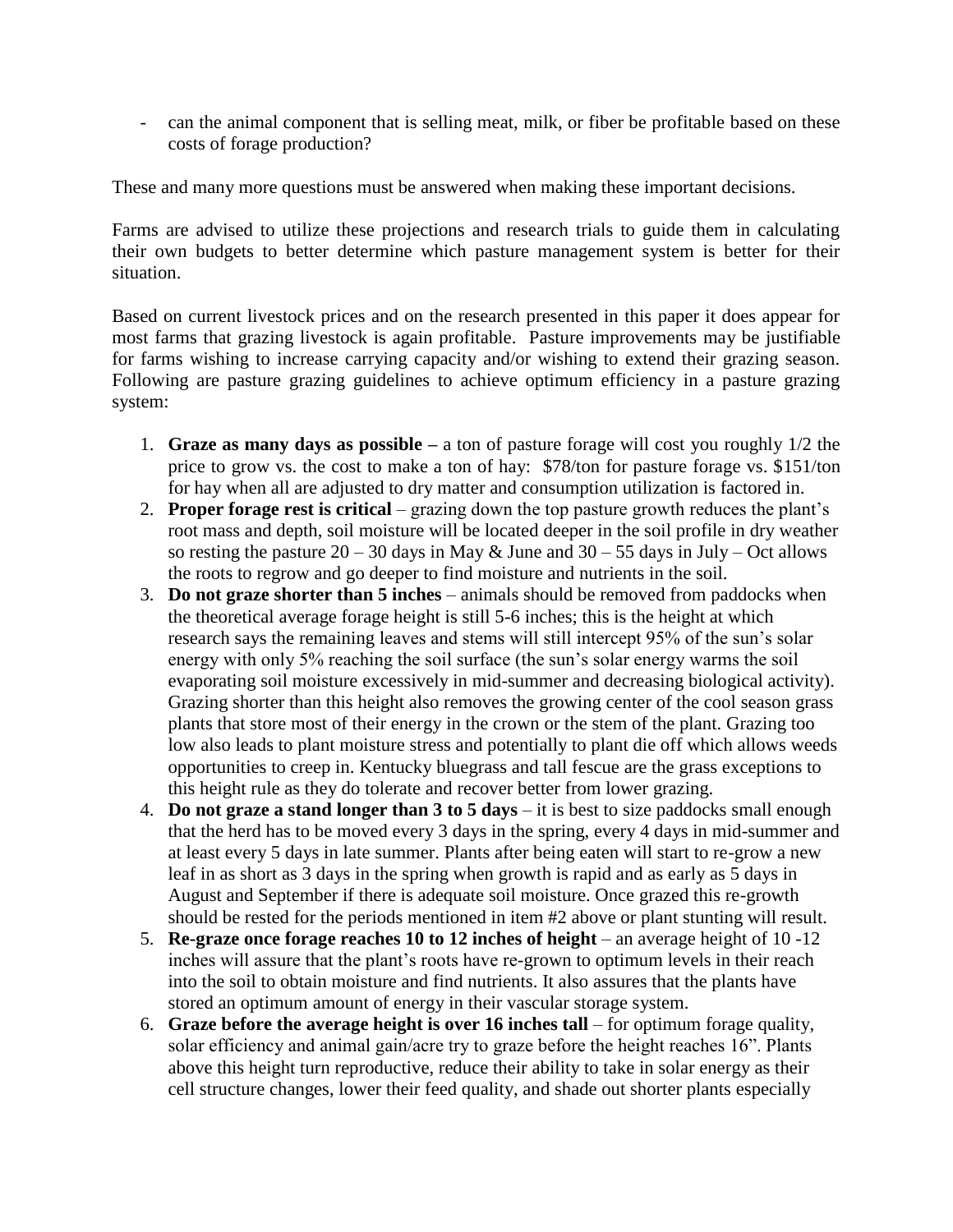- can the animal component that is selling meat, milk, or fiber be profitable based on these costs of forage production?

These and many more questions must be answered when making these important decisions.

Farms are advised to utilize these projections and research trials to guide them in calculating their own budgets to better determine which pasture management system is better for their situation.

Based on current livestock prices and on the research presented in this paper it does appear for most farms that grazing livestock is again profitable. Pasture improvements may be justifiable for farms wishing to increase carrying capacity and/or wishing to extend their grazing season. Following are pasture grazing guidelines to achieve optimum efficiency in a pasture grazing system:

- 1. **Graze as many days as possible –** a ton of pasture forage will cost you roughly 1/2 the price to grow vs. the cost to make a ton of hay: \$78/ton for pasture forage vs. \$151/ton for hay when all are adjusted to dry matter and consumption utilization is factored in.
- 2. **Proper forage rest is critical** grazing down the top pasture growth reduces the plant's root mass and depth, soil moisture will be located deeper in the soil profile in dry weather so resting the pasture  $20 - 30$  days in May & June and  $30 - 55$  days in July – Oct allows the roots to regrow and go deeper to find moisture and nutrients in the soil.
- 3. **Do not graze shorter than 5 inches**  animals should be removed from paddocks when the theoretical average forage height is still 5-6 inches; this is the height at which research says the remaining leaves and stems will still intercept 95% of the sun's solar energy with only 5% reaching the soil surface (the sun's solar energy warms the soil evaporating soil moisture excessively in mid-summer and decreasing biological activity). Grazing shorter than this height also removes the growing center of the cool season grass plants that store most of their energy in the crown or the stem of the plant. Grazing too low also leads to plant moisture stress and potentially to plant die off which allows weeds opportunities to creep in. Kentucky bluegrass and tall fescue are the grass exceptions to this height rule as they do tolerate and recover better from lower grazing.
- 4. **Do not graze a stand longer than 3 to 5 days**  it is best to size paddocks small enough that the herd has to be moved every 3 days in the spring, every 4 days in mid-summer and at least every 5 days in late summer. Plants after being eaten will start to re-grow a new leaf in as short as 3 days in the spring when growth is rapid and as early as  $\overline{5}$  days in August and September if there is adequate soil moisture. Once grazed this re-growth should be rested for the periods mentioned in item #2 above or plant stunting will result.
- 5. **Re-graze once forage reaches 10 to 12 inches of height** an average height of 10 -12 inches will assure that the plant's roots have re-grown to optimum levels in their reach into the soil to obtain moisture and find nutrients. It also assures that the plants have stored an optimum amount of energy in their vascular storage system.
- 6. **Graze before the average height is over 16 inches tall** for optimum forage quality, solar efficiency and animal gain/acre try to graze before the height reaches 16". Plants above this height turn reproductive, reduce their ability to take in solar energy as their cell structure changes, lower their feed quality, and shade out shorter plants especially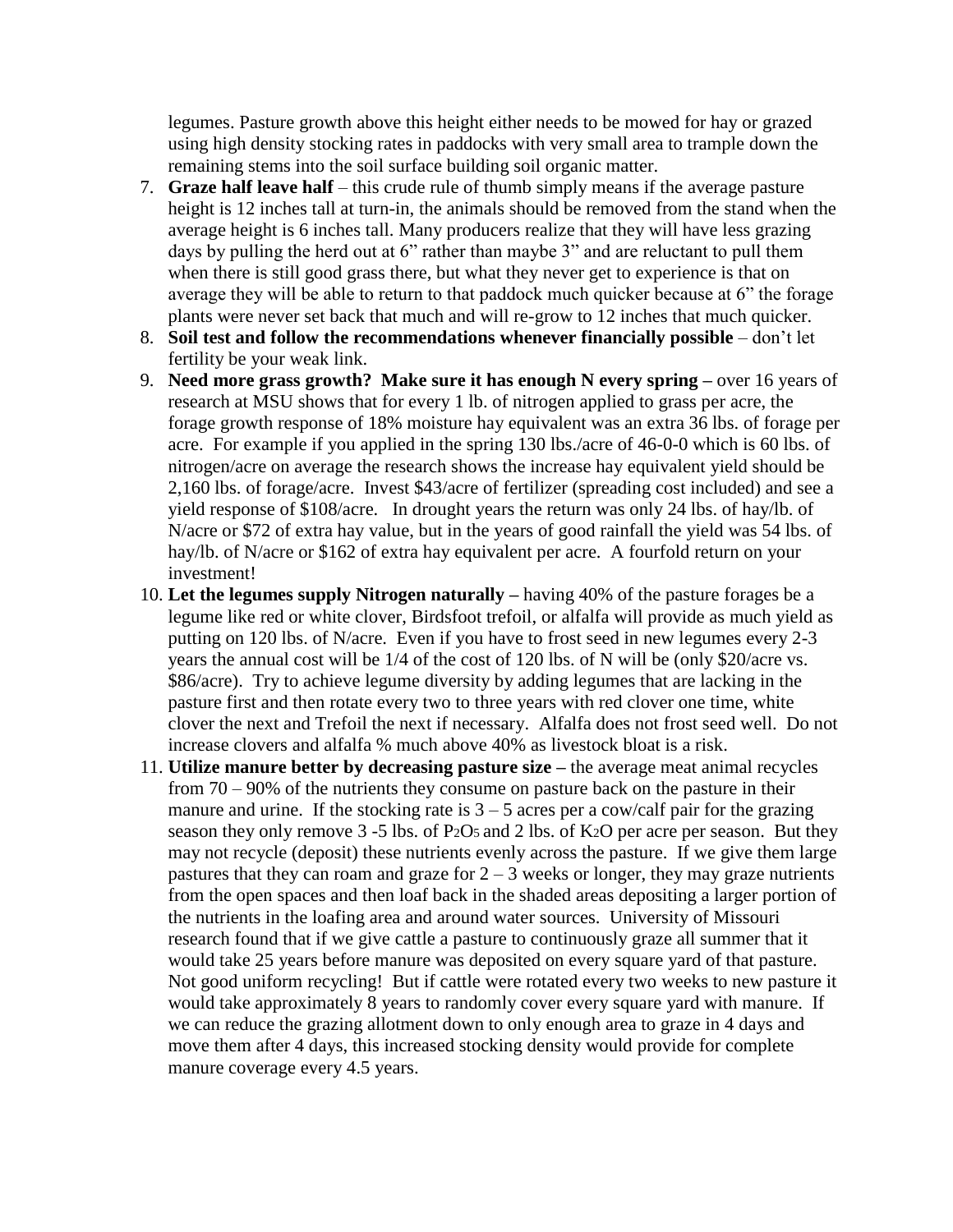legumes. Pasture growth above this height either needs to be mowed for hay or grazed using high density stocking rates in paddocks with very small area to trample down the remaining stems into the soil surface building soil organic matter.

- 7. **Graze half leave half**  this crude rule of thumb simply means if the average pasture height is 12 inches tall at turn-in, the animals should be removed from the stand when the average height is 6 inches tall. Many producers realize that they will have less grazing days by pulling the herd out at 6" rather than maybe 3" and are reluctant to pull them when there is still good grass there, but what they never get to experience is that on average they will be able to return to that paddock much quicker because at 6" the forage plants were never set back that much and will re-grow to 12 inches that much quicker.
- 8. Soil test and follow the recommendations whenever financially possible don't let fertility be your weak link.
- 9. **Need more grass growth? Make sure it has enough N every spring –** over 16 years of research at MSU shows that for every 1 lb. of nitrogen applied to grass per acre, the forage growth response of 18% moisture hay equivalent was an extra 36 lbs. of forage per acre. For example if you applied in the spring 130 lbs./acre of 46-0-0 which is 60 lbs. of nitrogen/acre on average the research shows the increase hay equivalent yield should be 2,160 lbs. of forage/acre. Invest \$43/acre of fertilizer (spreading cost included) and see a yield response of \$108/acre. In drought years the return was only 24 lbs. of hay/lb. of N/acre or \$72 of extra hay value, but in the years of good rainfall the yield was 54 lbs. of hay/lb. of N/acre or \$162 of extra hay equivalent per acre. A fourfold return on your investment!
- 10. **Let the legumes supply Nitrogen naturally –** having 40% of the pasture forages be a legume like red or white clover, Birdsfoot trefoil, or alfalfa will provide as much yield as putting on 120 lbs. of N/acre. Even if you have to frost seed in new legumes every 2-3 years the annual cost will be 1/4 of the cost of 120 lbs. of N will be (only \$20/acre vs. \$86/acre). Try to achieve legume diversity by adding legumes that are lacking in the pasture first and then rotate every two to three years with red clover one time, white clover the next and Trefoil the next if necessary. Alfalfa does not frost seed well. Do not increase clovers and alfalfa % much above 40% as livestock bloat is a risk.
- 11. **Utilize manure better by decreasing pasture size –** the average meat animal recycles from 70 – 90% of the nutrients they consume on pasture back on the pasture in their manure and urine. If the stocking rate is  $3 - 5$  acres per a cow/calf pair for the grazing season they only remove 3 -5 lbs. of P<sub>2</sub>O<sub>5</sub> and 2 lbs. of K<sub>2</sub>O per acre per season. But they may not recycle (deposit) these nutrients evenly across the pasture. If we give them large pastures that they can roam and graze for  $2 - 3$  weeks or longer, they may graze nutrients from the open spaces and then loaf back in the shaded areas depositing a larger portion of the nutrients in the loafing area and around water sources. University of Missouri research found that if we give cattle a pasture to continuously graze all summer that it would take 25 years before manure was deposited on every square yard of that pasture. Not good uniform recycling! But if cattle were rotated every two weeks to new pasture it would take approximately 8 years to randomly cover every square yard with manure. If we can reduce the grazing allotment down to only enough area to graze in 4 days and move them after 4 days, this increased stocking density would provide for complete manure coverage every 4.5 years.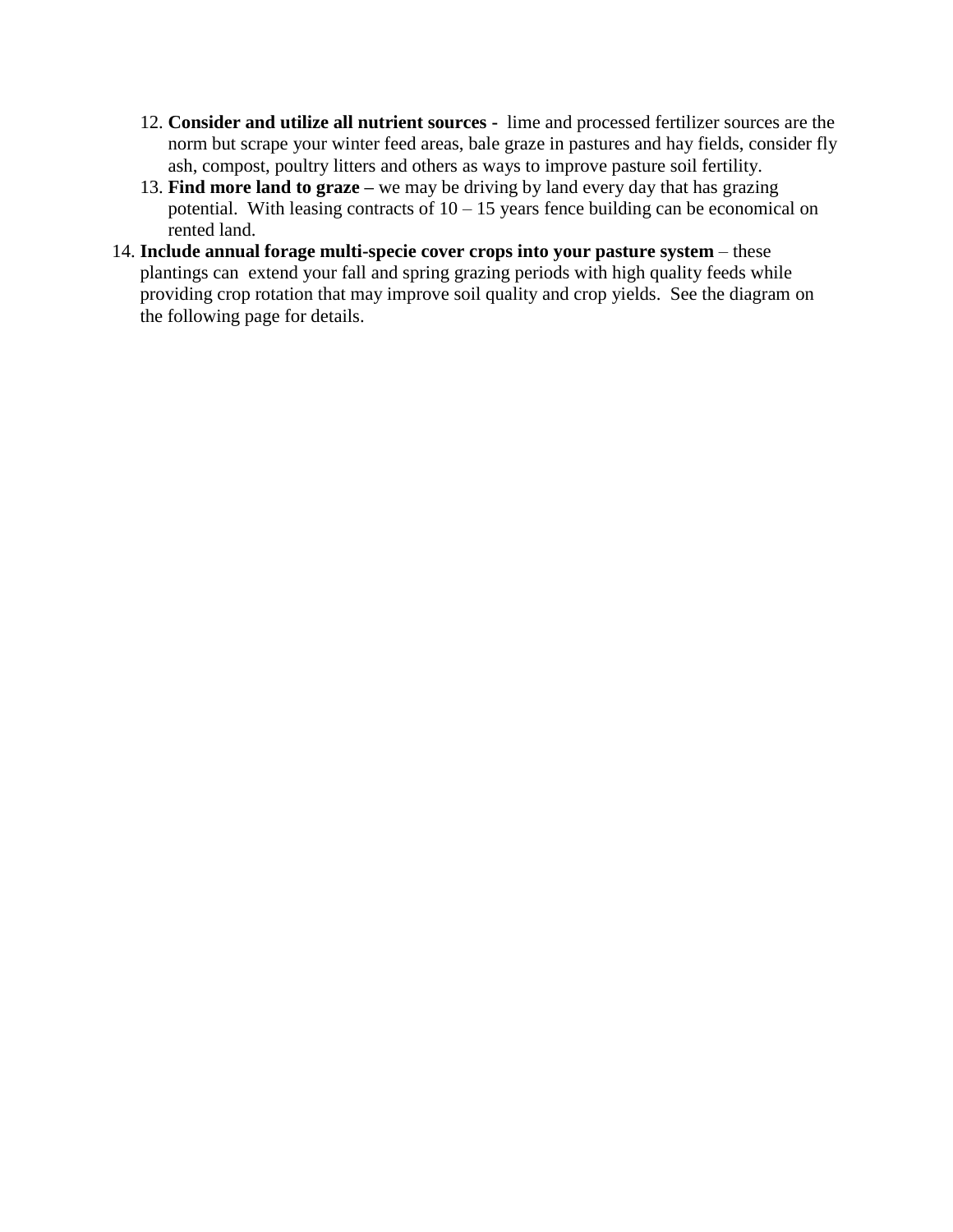- 12. **Consider and utilize all nutrient sources** lime and processed fertilizer sources are the norm but scrape your winter feed areas, bale graze in pastures and hay fields, consider fly ash, compost, poultry litters and others as ways to improve pasture soil fertility.
- 13. **Find more land to graze –** we may be driving by land every day that has grazing potential. With leasing contracts of  $10 - 15$  years fence building can be economical on rented land.
- 14. **Include annual forage multi-specie cover crops into your pasture system** these plantings can extend your fall and spring grazing periods with high quality feeds while providing crop rotation that may improve soil quality and crop yields. See the diagram on the following page for details.